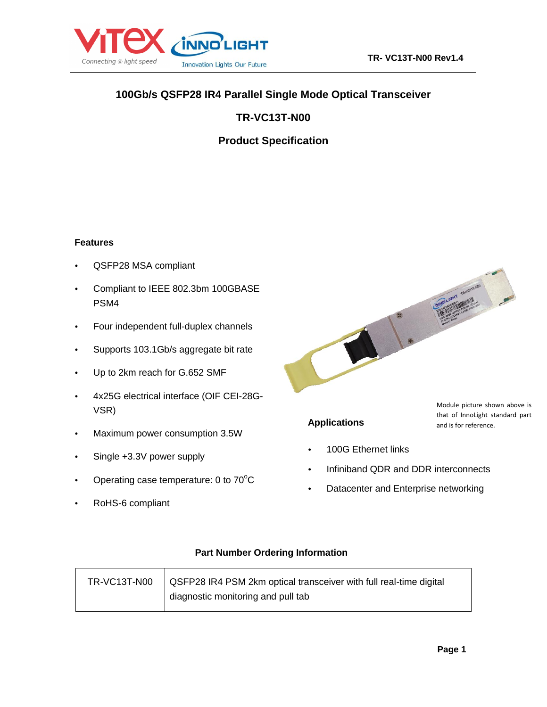

## **100Gb/s QSFP28 IR4 Parallel Single Mode Optical Transceiver**

**TR-VC13T-N00**

**Product Specification**

#### **Features**

- QSFP28 MSA compliant
- Compliant to IEEE 802.3bm 100GBASE PSM4
- Four independent full-duplex channels
- Supports 103.1Gb/s aggregate bit rate
- Up to 2km reach for G.652 SMF
- 4x25G electrical interface (OIF CEI-28G-VSR)
- Maximum power consumption 3.5W
- Single +3.3V power supply
- Operating case temperature: 0 to  $70^{\circ}$ C
- RoHS-6 compliant



## **Applications**

Module picture shown above is that of InnoLight standard part and is for reference.

- 100G Ethernet links
- Infiniband QDR and DDR interconnects
- Datacenter and Enterprise networking

#### **Part Number Ordering Information**

| TR-VC13T-N00 | QSFP28 IR4 PSM 2km optical transceiver with full real-time digital |
|--------------|--------------------------------------------------------------------|
|              | diagnostic monitoring and pull tab                                 |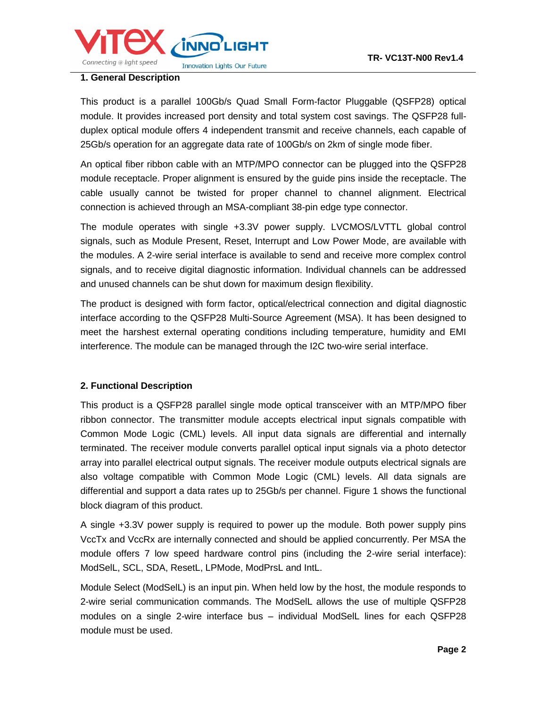

#### **1. General Description**

This product is a parallel 100Gb/s Quad Small Form-factor Pluggable (QSFP28) optical module. It provides increased port density and total system cost savings. The QSFP28 fullduplex optical module offers 4 independent transmit and receive channels, each capable of 25Gb/s operation for an aggregate data rate of 100Gb/s on 2km of single mode fiber.

An optical fiber ribbon cable with an MTP/MPO connector can be plugged into the QSFP28 module receptacle. Proper alignment is ensured by the guide pins inside the receptacle. The cable usually cannot be twisted for proper channel to channel alignment. Electrical connection is achieved through an MSA-compliant 38-pin edge type connector.

The module operates with single +3.3V power supply. LVCMOS/LVTTL global control signals, such as Module Present, Reset, Interrupt and Low Power Mode, are available with the modules. A 2-wire serial interface is available to send and receive more complex control signals, and to receive digital diagnostic information. Individual channels can be addressed and unused channels can be shut down for maximum design flexibility.

The product is designed with form factor, optical/electrical connection and digital diagnostic interface according to the QSFP28 Multi-Source Agreement (MSA). It has been designed to meet the harshest external operating conditions including temperature, humidity and EMI interference. The module can be managed through the I2C two-wire serial interface.

#### **2. Functional Description**

This product is a QSFP28 parallel single mode optical transceiver with an MTP/MPO fiber ribbon connector. The transmitter module accepts electrical input signals compatible with Common Mode Logic (CML) levels. All input data signals are differential and internally terminated. The receiver module converts parallel optical input signals via a photo detector array into parallel electrical output signals. The receiver module outputs electrical signals are also voltage compatible with Common Mode Logic (CML) levels. All data signals are differential and support a data rates up to 25Gb/s per channel. Figure 1 shows the functional block diagram of this product.

A single +3.3V power supply is required to power up the module. Both power supply pins VccTx and VccRx are internally connected and should be applied concurrently. Per MSA the module offers 7 low speed hardware control pins (including the 2-wire serial interface): ModSelL, SCL, SDA, ResetL, LPMode, ModPrsL and IntL.

Module Select (ModSelL) is an input pin. When held low by the host, the module responds to 2-wire serial communication commands. The ModSelL allows the use of multiple QSFP28 modules on a single 2-wire interface bus – individual ModSelL lines for each QSFP28 module must be used.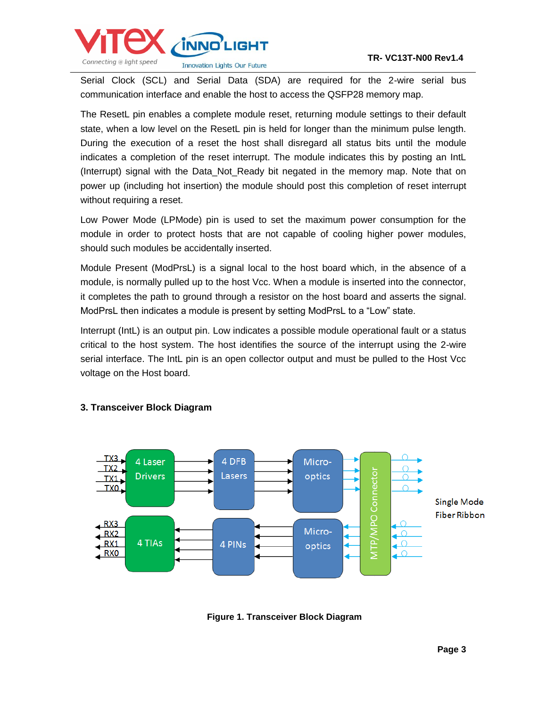

Serial Clock (SCL) and Serial Data (SDA) are required for the 2-wire serial bus communication interface and enable the host to access the QSFP28 memory map.

The ResetL pin enables a complete module reset, returning module settings to their default state, when a low level on the ResetL pin is held for longer than the minimum pulse length. During the execution of a reset the host shall disregard all status bits until the module indicates a completion of the reset interrupt. The module indicates this by posting an IntL (Interrupt) signal with the Data\_Not\_Ready bit negated in the memory map. Note that on power up (including hot insertion) the module should post this completion of reset interrupt without requiring a reset.

Low Power Mode (LPMode) pin is used to set the maximum power consumption for the module in order to protect hosts that are not capable of cooling higher power modules, should such modules be accidentally inserted.

Module Present (ModPrsL) is a signal local to the host board which, in the absence of a module, is normally pulled up to the host Vcc. When a module is inserted into the connector, it completes the path to ground through a resistor on the host board and asserts the signal. ModPrsL then indicates a module is present by setting ModPrsL to a "Low" state.

Interrupt (IntL) is an output pin. Low indicates a possible module operational fault or a status critical to the host system. The host identifies the source of the interrupt using the 2-wire serial interface. The IntL pin is an open collector output and must be pulled to the Host Vcc voltage on the Host board.



#### **3. Transceiver Block Diagram**

**Figure 1. Transceiver Block Diagram**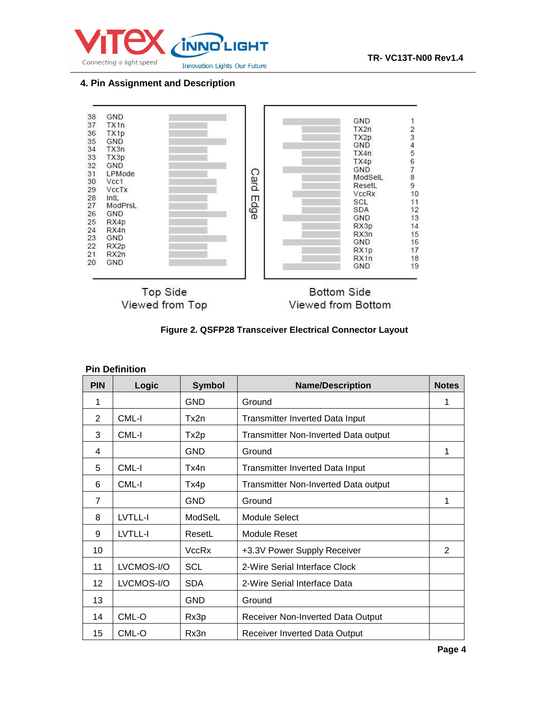

#### **4. Pin Assignment and Description**



Viewed from Top

Viewed from Bottom

| Figure 2. QSFP28 Transceiver Electrical Connector Layout |  |  |  |  |
|----------------------------------------------------------|--|--|--|--|
|----------------------------------------------------------|--|--|--|--|

|            | <b>Pin Definition</b> |                  |                                        |               |
|------------|-----------------------|------------------|----------------------------------------|---------------|
| <b>PIN</b> | Logic                 | <b>Symbol</b>    | <b>Name/Description</b>                | <b>Notes</b>  |
| 1          |                       | <b>GND</b>       | Ground                                 | 1             |
| 2          | CML-I                 | Tx2n             | <b>Transmitter Inverted Data Input</b> |               |
| 3          | CML-I                 | Tx <sub>2p</sub> | Transmitter Non-Inverted Data output   |               |
| 4          |                       | <b>GND</b>       | Ground                                 | 1             |
| 5          | CML-I                 | Tx4n             | <b>Transmitter Inverted Data Input</b> |               |
| 6          | CML-I                 | Tx4p             | Transmitter Non-Inverted Data output   |               |
| 7          |                       | <b>GND</b>       | Ground                                 | 1             |
| 8          | LVTLL-I               | ModSelL          | <b>Module Select</b>                   |               |
| 9          | LVTLL-I               | ResetL           | Module Reset                           |               |
| 10         |                       | VccRx            | +3.3V Power Supply Receiver            | $\mathcal{P}$ |
| 11         | LVCMOS-I/O            | <b>SCL</b>       | 2-Wire Serial Interface Clock          |               |
| 12         | LVCMOS-I/O            | <b>SDA</b>       | 2-Wire Serial Interface Data           |               |
| 13         |                       | <b>GND</b>       | Ground                                 |               |
| 14         | CML-O                 | Rx3p             | Receiver Non-Inverted Data Output      |               |
| 15         | CML-O                 | Rx3n             | <b>Receiver Inverted Data Output</b>   |               |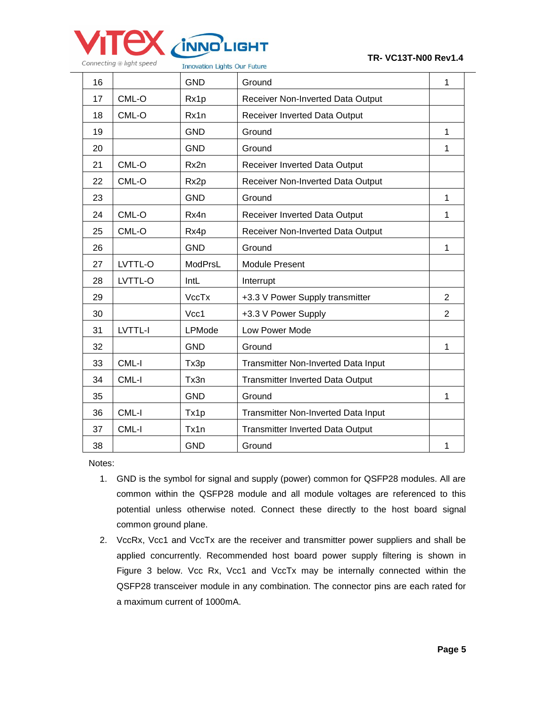

**Innovation Lights Our Future** 

| Ground<br>1<br>Receiver Non-Inverted Data Output |
|--------------------------------------------------|
|                                                  |
|                                                  |
| Receiver Inverted Data Output                    |
| 1<br>Ground                                      |
| Ground<br>1                                      |
| Receiver Inverted Data Output                    |
| Receiver Non-Inverted Data Output                |
| Ground<br>1                                      |
| Receiver Inverted Data Output<br>1               |
| Receiver Non-Inverted Data Output                |
| Ground<br>1                                      |
| <b>Module Present</b>                            |
| Interrupt                                        |
| +3.3 V Power Supply transmitter<br>2             |
| $\overline{2}$<br>+3.3 V Power Supply            |
| Low Power Mode                                   |
| $\mathbf{1}$<br>Ground                           |
| Transmitter Non-Inverted Data Input              |
| Transmitter Inverted Data Output                 |
| Ground<br>1                                      |
| Transmitter Non-Inverted Data Input              |
| <b>Transmitter Inverted Data Output</b>          |
| Ground<br>1                                      |
|                                                  |

Notes:

- 1. GND is the symbol for signal and supply (power) common for QSFP28 modules. All are common within the QSFP28 module and all module voltages are referenced to this potential unless otherwise noted. Connect these directly to the host board signal common ground plane.
- 2. VccRx, Vcc1 and VccTx are the receiver and transmitter power suppliers and shall be applied concurrently. Recommended host board power supply filtering is shown in Figure 3 below. Vcc Rx, Vcc1 and VccTx may be internally connected within the QSFP28 transceiver module in any combination. The connector pins are each rated for a maximum current of 1000mA.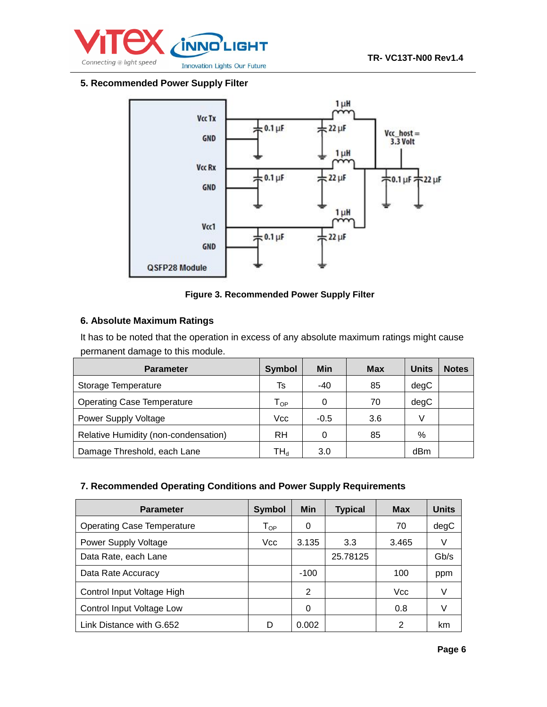

#### **5. Recommended Power Supply Filter**



#### **Figure 3. Recommended Power Supply Filter**

#### **6. Absolute Maximum Ratings**

It has to be noted that the operation in excess of any absolute maximum ratings might cause permanent damage to this module.

| <b>Parameter</b>                     | Symbol                     | <b>Min</b> | <b>Max</b> | <b>Units</b> | <b>Notes</b> |
|--------------------------------------|----------------------------|------------|------------|--------------|--------------|
| Storage Temperature                  | Ts                         | $-40$      | 85         | degC         |              |
| <b>Operating Case Temperature</b>    | $\mathsf{T}_{\mathsf{OP}}$ | 0          | 70         | degC         |              |
| <b>Power Supply Voltage</b>          | Vcc                        | $-0.5$     | 3.6        | V            |              |
| Relative Humidity (non-condensation) | <b>RH</b>                  | 0          | 85         | %            |              |
| Damage Threshold, each Lane          | TH,                        | 3.0        |            | dBm          |              |

#### **7. Recommended Operating Conditions and Power Supply Requirements**

| <b>Parameter</b>                  | <b>Symbol</b>              | <b>Min</b> | <b>Typical</b> | Max        | <b>Units</b> |
|-----------------------------------|----------------------------|------------|----------------|------------|--------------|
| <b>Operating Case Temperature</b> | $\mathsf{T}_{\mathsf{OP}}$ | 0          |                | 70         | degC         |
| <b>Power Supply Voltage</b>       | Vcc                        | 3.135      | 3.3            | 3.465      | V            |
| Data Rate, each Lane              |                            |            | 25.78125       |            | Gb/s         |
| Data Rate Accuracy                |                            | $-100$     |                | 100        | ppm          |
| Control Input Voltage High        |                            | 2          |                | <b>Vcc</b> | V            |
| Control Input Voltage Low         |                            | 0          |                | 0.8        | V            |
| Link Distance with G.652          | D                          | 0.002      |                | 2          | km           |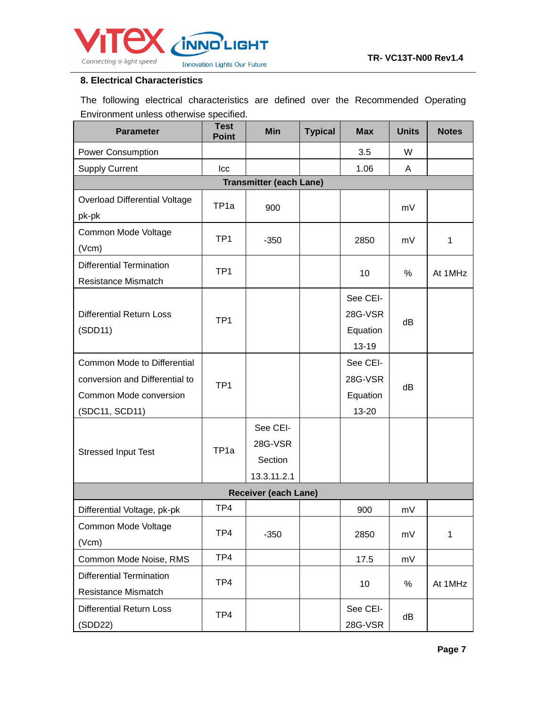

#### **8. Electrical Characteristics**

The following electrical characteristics are defined over the Recommended Operating Environment unless otherwise specified.

| <b>Parameter</b>                           | <b>Test</b><br><b>Point</b> | <b>Min</b>                     | <b>Typical</b> | <b>Max</b>          | <b>Units</b> | <b>Notes</b> |
|--------------------------------------------|-----------------------------|--------------------------------|----------------|---------------------|--------------|--------------|
| Power Consumption                          |                             |                                |                | 3.5                 | W            |              |
| <b>Supply Current</b>                      | Icc                         |                                |                | 1.06                | A            |              |
|                                            |                             | <b>Transmitter (each Lane)</b> |                |                     |              |              |
| Overload Differential Voltage              | TP <sub>1a</sub>            | 900                            |                |                     | mV           |              |
| pk-pk                                      |                             |                                |                |                     |              |              |
| Common Mode Voltage                        | TP <sub>1</sub>             | $-350$                         |                | 2850                | mV           | 1            |
| (Vcm)                                      |                             |                                |                |                     |              |              |
| <b>Differential Termination</b>            | TP <sub>1</sub>             |                                |                | 10                  | %            | At 1MHz      |
| Resistance Mismatch                        |                             |                                |                |                     |              |              |
|                                            |                             |                                |                | See CEI-            |              |              |
| <b>Differential Return Loss</b>            | TP <sub>1</sub>             |                                |                | 28G-VSR             | dB           |              |
| (SDD11)                                    |                             |                                |                | Equation            |              |              |
|                                            |                             |                                |                | $13 - 19$           |              |              |
| <b>Common Mode to Differential</b>         |                             |                                |                | See CEI-            |              |              |
| conversion and Differential to             | TP <sub>1</sub>             |                                |                | 28G-VSR             | dB           |              |
| Common Mode conversion                     |                             |                                |                | Equation            |              |              |
| (SDC11, SCD11)                             |                             |                                |                | 13-20               |              |              |
|                                            |                             | See CEI-                       |                |                     |              |              |
| <b>Stressed Input Test</b>                 | TP <sub>1a</sub>            | 28G-VSR                        |                |                     |              |              |
|                                            |                             | Section                        |                |                     |              |              |
|                                            |                             | 13.3.11.2.1                    |                |                     |              |              |
|                                            |                             | Receiver (each Lane)           |                |                     |              |              |
| Differential Voltage, pk-pk                | TP4                         |                                |                | 900                 | mV           |              |
| Common Mode Voltage                        | TP4                         | $-350$                         |                | 2850                | mV           | 1            |
| (Vcm)                                      |                             |                                |                |                     |              |              |
| Common Mode Noise, RMS                     | TP4                         |                                |                | 17.5                | mV           |              |
| <b>Differential Termination</b>            | TP4                         |                                |                |                     |              |              |
| Resistance Mismatch                        |                             |                                |                | 10                  | $\%$         | At 1MHz      |
| <b>Differential Return Loss</b><br>(SDD22) | TP4                         |                                |                | See CEI-<br>28G-VSR | dB           |              |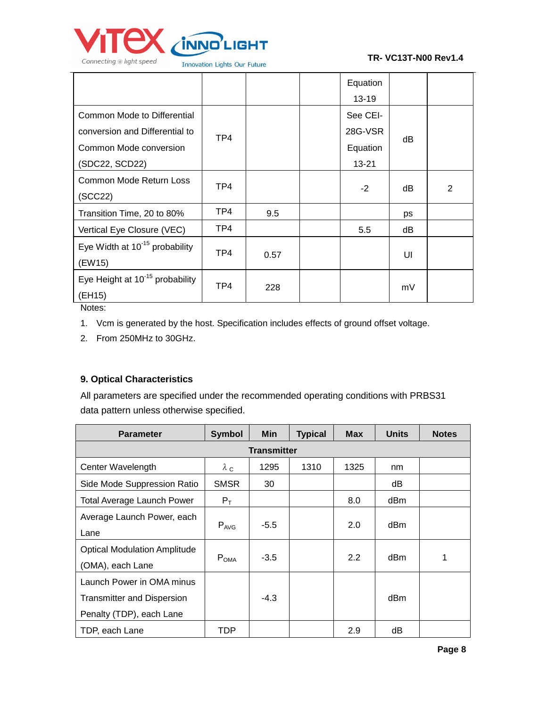

|                                                                                                           |     |      | Equation<br>$13 - 19$                    |    |                |
|-----------------------------------------------------------------------------------------------------------|-----|------|------------------------------------------|----|----------------|
| Common Mode to Differential<br>conversion and Differential to<br>Common Mode conversion<br>(SDC22, SCD22) | TP4 |      | See CEI-<br>28G-VSR<br>Equation<br>13-21 | dB |                |
| Common Mode Return Loss<br>(SCC22)                                                                        | TP4 |      | $-2$                                     | dB | $\overline{2}$ |
| Transition Time, 20 to 80%                                                                                | TP4 | 9.5  |                                          | ps |                |
| Vertical Eye Closure (VEC)                                                                                | TP4 |      | 5.5                                      | dВ |                |
| Eye Width at 10 <sup>-15</sup> probability<br>(EW15)                                                      | TP4 | 0.57 |                                          | UI |                |
| Eye Height at 10 <sup>-15</sup> probability<br>(EH15)                                                     | TP4 | 228  |                                          | mV |                |

Notes:

- 1. Vcm is generated by the host. Specification includes effects of ground offset voltage.
- 2. From 250MHz to 30GHz.

## **9. Optical Characteristics**

All parameters are specified under the recommended operating conditions with PRBS31 data pattern unless otherwise specified.

| <b>Parameter</b>                                                                    | <b>Symbol</b>      | <b>Min</b> | <b>Typical</b> | <b>Max</b> | <b>Units</b> | <b>Notes</b> |  |  |
|-------------------------------------------------------------------------------------|--------------------|------------|----------------|------------|--------------|--------------|--|--|
|                                                                                     | <b>Transmitter</b> |            |                |            |              |              |  |  |
| Center Wavelength                                                                   | $\lambda$ c        | 1295       | 1310           | 1325       | nm           |              |  |  |
| Side Mode Suppression Ratio                                                         | <b>SMSR</b>        | 30         |                |            | dB           |              |  |  |
| <b>Total Average Launch Power</b>                                                   | $P_T$              |            |                | 8.0        | dBm          |              |  |  |
| Average Launch Power, each<br>Lane                                                  | $P_{AVG}$          | $-5.5$     |                | 2.0        | dBm          |              |  |  |
| <b>Optical Modulation Amplitude</b><br>(OMA), each Lane                             | $P_{OMA}$          | $-3.5$     |                | 2.2        | dBm          | 1            |  |  |
| Launch Power in OMA minus<br>Transmitter and Dispersion<br>Penalty (TDP), each Lane |                    | $-4.3$     |                |            | dBm          |              |  |  |
| TDP, each Lane                                                                      | TDP                |            |                | 2.9        | dВ           |              |  |  |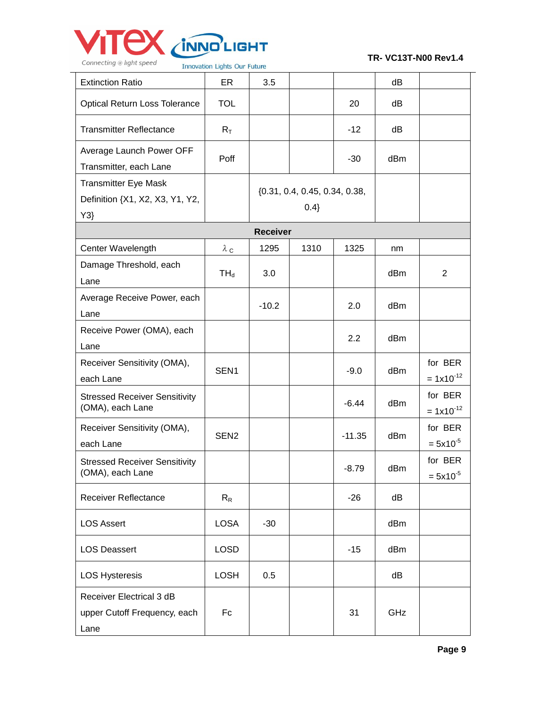

|                                                                      | <b>INDVALION LIGHTS OUN NUMBER</b> |                 |                                         |          |     |                           |
|----------------------------------------------------------------------|------------------------------------|-----------------|-----------------------------------------|----------|-----|---------------------------|
| <b>Extinction Ratio</b>                                              | ER                                 | 3.5             |                                         |          | dB  |                           |
| <b>Optical Return Loss Tolerance</b>                                 | <b>TOL</b>                         |                 |                                         | 20       | dB  |                           |
| <b>Transmitter Reflectance</b>                                       | $R_T$                              |                 |                                         | $-12$    | dB  |                           |
| Average Launch Power OFF<br>Transmitter, each Lane                   | Poff                               |                 |                                         | $-30$    | dBm |                           |
| <b>Transmitter Eye Mask</b><br>Definition {X1, X2, X3, Y1, Y2,<br>Y3 |                                    |                 | $\{0.31, 0.4, 0.45, 0.34, 0.38,$<br>0.4 |          |     |                           |
|                                                                      |                                    | <b>Receiver</b> |                                         |          |     |                           |
| Center Wavelength                                                    | $\lambda_c$                        | 1295            | 1310                                    | 1325     | nm  |                           |
| Damage Threshold, each<br>Lane                                       | $TH_d$                             | 3.0             |                                         |          | dBm | $\overline{2}$            |
| Average Receive Power, each<br>Lane                                  |                                    | $-10.2$         |                                         | 2.0      | dBm |                           |
| Receive Power (OMA), each<br>Lane                                    |                                    |                 |                                         | 2.2      | dBm |                           |
| Receiver Sensitivity (OMA),<br>each Lane                             | SEN <sub>1</sub>                   |                 |                                         | $-9.0$   | dBm | for BER<br>$= 1x10^{-12}$ |
| <b>Stressed Receiver Sensitivity</b><br>(OMA), each Lane             |                                    |                 |                                         | $-6.44$  | dBm | for BER<br>$= 1x10^{-12}$ |
| Receiver Sensitivity (OMA),<br>each Lane                             | SEN <sub>2</sub>                   |                 |                                         | $-11.35$ | dBm | for BER<br>$= 5x10^{-5}$  |
| <b>Stressed Receiver Sensitivity</b><br>(OMA), each Lane             |                                    |                 |                                         | $-8.79$  | dBm | for BER<br>$= 5x10^{-5}$  |
| Receiver Reflectance                                                 | $R_R$                              |                 |                                         | $-26$    | dB  |                           |
| <b>LOS Assert</b>                                                    | <b>LOSA</b>                        | $-30$           |                                         |          | dBm |                           |
| <b>LOS Deassert</b>                                                  | <b>LOSD</b>                        |                 |                                         | $-15$    | dBm |                           |
| <b>LOS Hysteresis</b>                                                | <b>LOSH</b>                        | 0.5             |                                         |          | dB  |                           |
| Receiver Electrical 3 dB<br>upper Cutoff Frequency, each<br>Lane     | Fc                                 |                 |                                         | 31       | GHz |                           |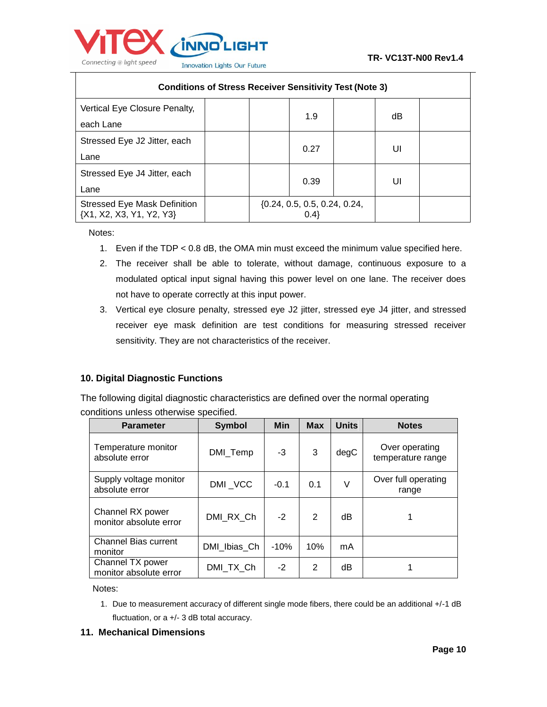

| <b>Conditions of Stress Receiver Sensitivity Test (Note 3)</b>  |                                           |    |  |  |  |
|-----------------------------------------------------------------|-------------------------------------------|----|--|--|--|
| Vertical Eye Closure Penalty,<br>each Lane                      | 1.9                                       | dΒ |  |  |  |
| Stressed Eye J2 Jitter, each<br>Lane                            | 0.27                                      | UI |  |  |  |
| Stressed Eye J4 Jitter, each<br>Lane                            | 0.39                                      | UI |  |  |  |
| <b>Stressed Eye Mask Definition</b><br>{X1, X2, X3, Y1, Y2, Y3} | $\{0.24, 0.5, 0.5, 0.24, 0.24, \}$<br>0.4 |    |  |  |  |

Notes:

- 1. Even if the TDP < 0.8 dB, the OMA min must exceed the minimum value specified here.
- 2. The receiver shall be able to tolerate, without damage, continuous exposure to a modulated optical input signal having this power level on one lane. The receiver does not have to operate correctly at this input power.
- 3. Vertical eye closure penalty, stressed eye J2 jitter, stressed eye J4 jitter, and stressed receiver eye mask definition are test conditions for measuring stressed receiver sensitivity. They are not characteristics of the receiver.

#### **10. Digital Diagnostic Functions**

The following digital diagnostic characteristics are defined over the normal operating conditions unless otherwise specified.

| <b>Parameter</b>                           | <b>Symbol</b> | <b>Min</b> | <b>Max</b> | <b>Units</b> | <b>Notes</b>                        |
|--------------------------------------------|---------------|------------|------------|--------------|-------------------------------------|
| Temperature monitor<br>absolute error      | DMI_Temp      | -3         | 3          | degC         | Over operating<br>temperature range |
| Supply voltage monitor<br>absolute error   | DMI VCC       | $-0.1$     | 0.1        | ٧            | Over full operating<br>range        |
| Channel RX power<br>monitor absolute error | DMI RX Ch     | $-2$       | 2          | dB           |                                     |
| <b>Channel Bias current</b><br>monitor     | DMI Ibias Ch  | $-10%$     | 10%        | mA           |                                     |
| Channel TX power<br>monitor absolute error | DMI TX Ch     | $-2$       | 2          | dB           |                                     |

Notes:

- 1. Due to measurement accuracy of different single mode fibers, there could be an additional +/-1 dB fluctuation, or a +/- 3 dB total accuracy.
- **11. Mechanical Dimensions**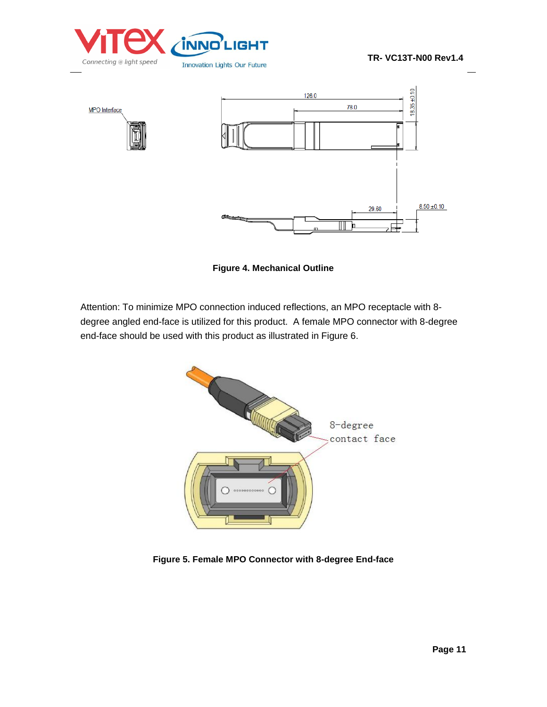



**Figure 4. Mechanical Outline** 

Attention: To minimize MPO connection induced reflections, an MPO receptacle with 8 degree angled end-face is utilized for this product. A female MPO connector with 8-degree end-face should be used with this product as illustrated in Figure 6.



**Figure 5. Female MPO Connector with 8-degree End-face**